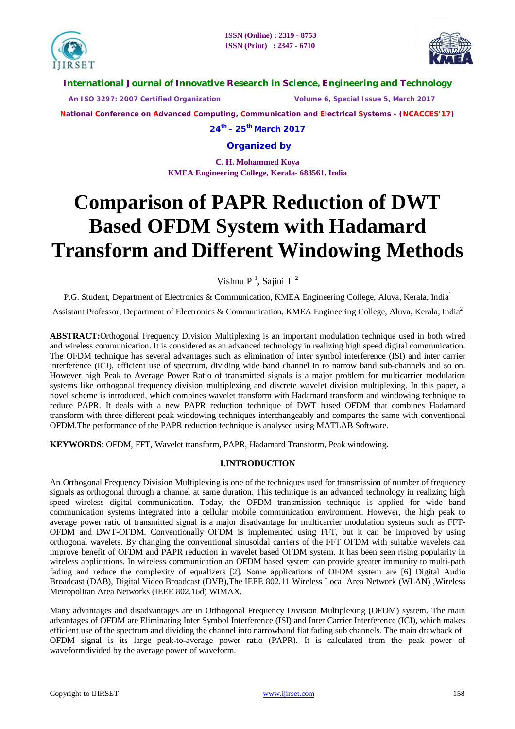



## **International Journal of Innovative Research in Science, Engineering and Technology**

 *An ISO 3297: 2007 Certified Organization Volume 6, Special Issue 5, March 2017*

**National Conference on Advanced Computing, Communication and Electrical Systems - (NCACCES'17)**

**24th - 25th March 2017**

**Organized by**

**C. H. Mohammed Koya KMEA Engineering College, Kerala- 683561, India** 

# **Comparison of PAPR Reduction of DWT Based OFDM System with Hadamard Transform and Different Windowing Methods**

Vishnu P<sup>1</sup>, Sajini T<sup>2</sup>

P.G. Student, Department of Electronics & Communication, KMEA Engineering College, Aluva, Kerala, India<sup>1</sup>

Assistant Professor, Department of Electronics & Communication, KMEA Engineering College, Aluva, Kerala, India<sup>2</sup>

**ABSTRACT:**Orthogonal Frequency Division Multiplexing is an important modulation technique used in both wired and wireless communication. It is considered as an advanced technology in realizing high speed digital communication. The OFDM technique has several advantages such as elimination of inter symbol interference (ISI) and inter carrier interference (ICI), efficient use of spectrum, dividing wide band channel in to narrow band sub-channels and so on. However high Peak to Average Power Ratio of transmitted signals is a major problem for multicarrier modulation systems like orthogonal frequency division multiplexing and discrete wavelet division multiplexing. In this paper, a novel scheme is introduced, which combines wavelet transform with Hadamard transform and windowing technique to reduce PAPR. It deals with a new PAPR reduction technique of DWT based OFDM that combines Hadamard transform with three different peak windowing techniques interchangeably and compares the same with conventional OFDM.The performance of the PAPR reduction technique is analysed using MATLAB Software.

**KEYWORDS**: OFDM, FFT, Wavelet transform, PAPR, Hadamard Transform, Peak windowing**.**

## **I.INTRODUCTION**

An Orthogonal Frequency Division Multiplexing is one of the techniques used for transmission of number of frequency signals as orthogonal through a channel at same duration. This technique is an advanced technology in realizing high speed wireless digital communication. Today, the OFDM transmission technique is applied for wide band communication systems integrated into a cellular mobile communication environment. However, the high peak to average power ratio of transmitted signal is a major disadvantage for multicarrier modulation systems such as FFT-OFDM and DWT-OFDM. Conventionally OFDM is implemented using FFT, but it can be improved by using orthogonal wavelets. By changing the conventional sinusoidal carriers of the FFT OFDM with suitable wavelets can improve benefit of OFDM and PAPR reduction in wavelet based OFDM system. It has been seen rising popularity in wireless applications. In wireless communication an OFDM based system can provide greater immunity to multi-path fading and reduce the complexity of equalizers [2]. Some applications of OFDM system are [6] Digital Audio Broadcast (DAB), Digital Video Broadcast (DVB),The IEEE 802.11 Wireless Local Area Network (WLAN) ,Wireless Metropolitan Area Networks (IEEE 802.16d) WiMAX.

Many advantages and disadvantages are in Orthogonal Frequency Division Multiplexing (OFDM) system. The main advantages of OFDM are Eliminating Inter Symbol Interference (ISI) and Inter Carrier Interference (ICI), which makes efficient use of the spectrum and dividing the channel into narrowband flat fading sub channels. The main drawback of OFDM signal is its large peak-to-average power ratio (PAPR). It is calculated from the peak power of waveformdivided by the average power of waveform.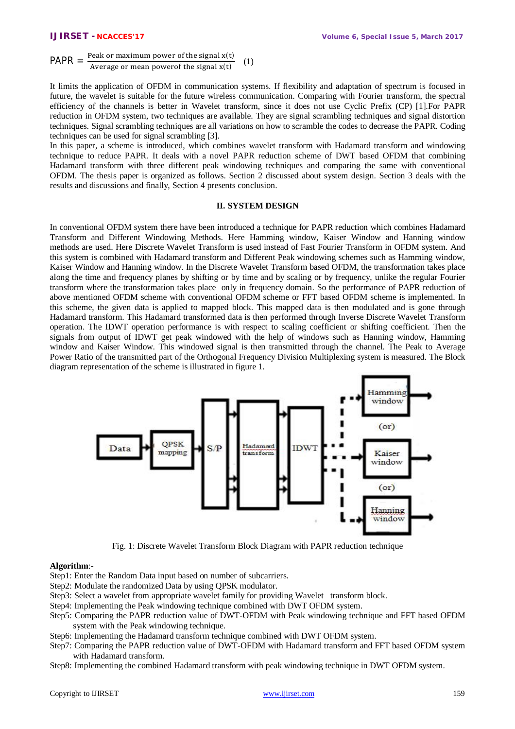$PAPR =$ Peak or maximum power of the signal x(t) Average or mean power of the signal  $x(t)$ (1)

It limits the application of OFDM in communication systems. If flexibility and adaptation of spectrum is focused in future, the wavelet is suitable for the future wireless communication. Comparing with Fourier transform, the spectral efficiency of the channels is better in Wavelet transform, since it does not use Cyclic Prefix (CP) [1].For PAPR reduction in OFDM system, two techniques are available. They are signal scrambling techniques and signal distortion techniques. Signal scrambling techniques are all variations on how to scramble the codes to decrease the PAPR. Coding techniques can be used for signal scrambling [3].

In this paper, a scheme is introduced, which combines wavelet transform with Hadamard transform and windowing technique to reduce PAPR. It deals with a novel PAPR reduction scheme of DWT based OFDM that combining Hadamard transform with three different peak windowing techniques and comparing the same with conventional OFDM. The thesis paper is organized as follows. Section 2 discussed about system design. Section 3 deals with the results and discussions and finally, Section 4 presents conclusion.

## **II. SYSTEM DESIGN**

In conventional OFDM system there have been introduced a technique for PAPR reduction which combines Hadamard Transform and Different Windowing Methods. Here Hamming window, Kaiser Window and Hanning window methods are used. Here Discrete Wavelet Transform is used instead of Fast Fourier Transform in OFDM system. And this system is combined with Hadamard transform and Different Peak windowing schemes such as Hamming window, Kaiser Window and Hanning window. In the Discrete Wavelet Transform based OFDM, the transformation takes place along the time and frequency planes by shifting or by time and by scaling or by frequency, unlike the regular Fourier transform where the transformation takes place only in frequency domain. So the performance of PAPR reduction of above mentioned OFDM scheme with conventional OFDM scheme or FFT based OFDM scheme is implemented. In this scheme, the given data is applied to mapped block. This mapped data is then modulated and is gone through Hadamard transform. This Hadamard transformed data is then performed through Inverse Discrete Wavelet Transform operation. The IDWT operation performance is with respect to scaling coefficient or shifting coefficient. Then the signals from output of IDWT get peak windowed with the help of windows such as Hanning window, Hamming window and Kaiser Window. This windowed signal is then transmitted through the channel. The Peak to Average Power Ratio of the transmitted part of the Orthogonal Frequency Division Multiplexing system is measured. The Block diagram representation of the scheme is illustrated in figure 1.



Fig. 1: Discrete Wavelet Transform Block Diagram with PAPR reduction technique

## **Algorithm**:-

- Step1: Enter the Random Data input based on number of subcarriers.
- Step2: Modulate the randomized Data by using QPSK modulator.
- Step3: Select a wavelet from appropriate wavelet family for providing Wavelet transform block.
- Step4: Implementing the Peak windowing technique combined with DWT OFDM system.
- Step5: Comparing the PAPR reduction value of DWT-OFDM with Peak windowing technique and FFT based OFDM system with the Peak windowing technique.
- Step6: Implementing the Hadamard transform technique combined with DWT OFDM system.
- Step7: Comparing the PAPR reduction value of DWT-OFDM with Hadamard transform and FFT based OFDM system with Hadamard transform.
- Step8: Implementing the combined Hadamard transform with peak windowing technique in DWT OFDM system.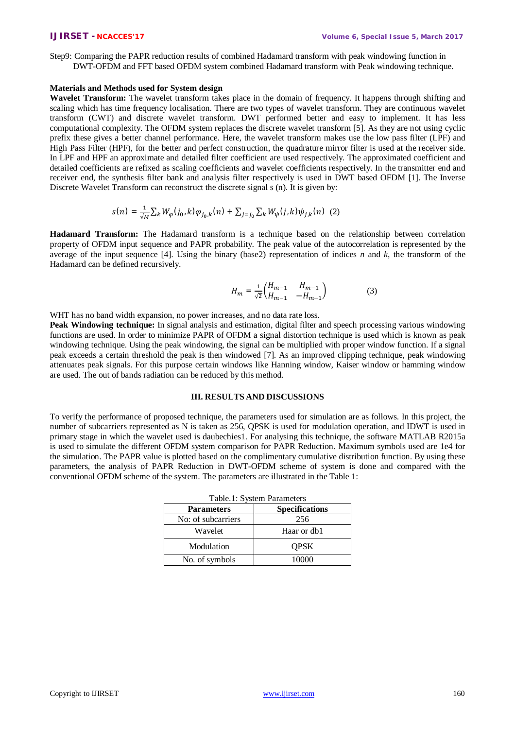Step9: Comparing the PAPR reduction results of combined Hadamard transform with peak windowing function in DWT-OFDM and FFT based OFDM system combined Hadamard transform with Peak windowing technique.

## **Materials and Methods used for System design**

**Wavelet Transform:** The wavelet transform takes place in the domain of frequency. It happens through shifting and scaling which has time frequency localisation. There are two types of wavelet transform. They are continuous wavelet transform (CWT) and discrete wavelet transform. DWT performed better and easy to implement. It has less computational complexity. The OFDM system replaces the discrete wavelet transform [5]. As they are not using cyclic prefix these gives a better channel performance. Here, the wavelet transform makes use the low pass filter (LPF) and High Pass Filter (HPF), for the better and perfect construction, the quadrature mirror filter is used at the receiver side. In LPF and HPF an approximate and detailed filter coefficient are used respectively. The approximated coefficient and detailed coefficients are refixed as scaling coefficients and wavelet coefficients respectively. In the transmitter end and receiver end, the synthesis filter bank and analysis filter respectively is used in DWT based OFDM [1]. The Inverse Discrete Wavelet Transform can reconstruct the discrete signal s (n). It is given by:

$$
s(n) = \frac{1}{\sqrt{M}} \sum_{k} W_{\varphi}(j_0, k) \varphi_{j_0, k}(n) + \sum_{j=j_0} \sum_{k} W_{\psi}(j, k) \psi_{j, k}(n) \tag{2}
$$

**Hadamard Transform:** The Hadamard transform is a technique based on the relationship between correlation property of OFDM input sequence and PAPR probability. The peak value of the autocorrelation is represented by the average of the input sequence [4]. Using the binary (base2) representation of indices *n* and  $k$ , the transform of the Hadamard can be defined recursively.

$$
H_m = \frac{1}{\sqrt{2}} \begin{pmatrix} H_{m-1} & H_{m-1} \\ H_{m-1} & -H_{m-1} \end{pmatrix}
$$
 (3)

WHT has no band width expansion, no power increases, and no data rate loss.

**Peak Windowing technique:** In signal analysis and estimation, digital filter and speech processing various windowing functions are used. In order to minimize PAPR of OFDM a signal distortion technique is used which is known as peak windowing technique. Using the peak windowing, the signal can be multiplied with proper window function. If a signal peak exceeds a certain threshold the peak is then windowed [7]. As an improved clipping technique, peak windowing attenuates peak signals. For this purpose certain windows like Hanning window, Kaiser window or hamming window are used. The out of bands radiation can be reduced by this method.

## **III. RESULTS AND DISCUSSIONS**

To verify the performance of proposed technique, the parameters used for simulation are as follows. In this project, the number of subcarriers represented as N is taken as 256, QPSK is used for modulation operation, and IDWT is used in primary stage in which the wavelet used is daubechies1. For analysing this technique, the software MATLAB R2015a is used to simulate the different OFDM system comparison for PAPR Reduction. Maximum symbols used are 1e4 for the simulation. The PAPR value is plotted based on the complimentary cumulative distribution function. By using these parameters, the analysis of PAPR Reduction in DWT-OFDM scheme of system is done and compared with the conventional OFDM scheme of the system. The parameters are illustrated in the Table 1:

| <b>Parameters</b>  | <b>Specifications</b> |  |  |
|--------------------|-----------------------|--|--|
| No: of subcarriers | 256                   |  |  |
| Wavelet            | Haar or db1           |  |  |
| Modulation         | <b>OPSK</b>           |  |  |
| No. of symbols     | 10000                 |  |  |

## Table.1: System Parameters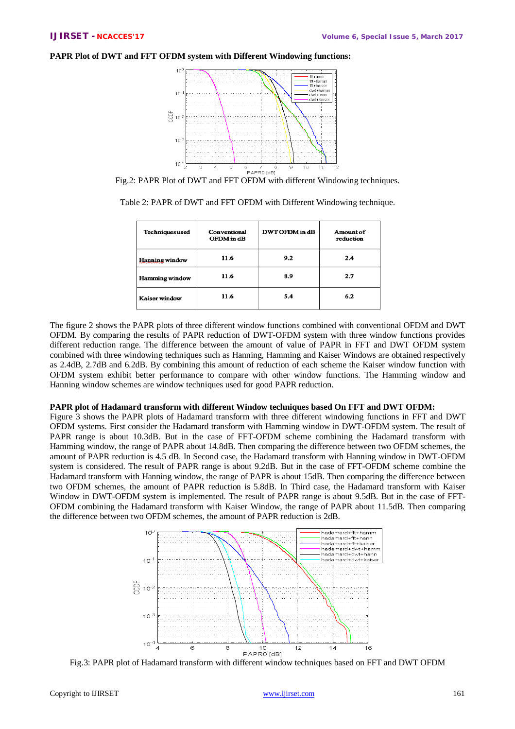## **PAPR Plot of DWT and FFT OFDM system with Different Windowing functions:**



Fig.2: PAPR Plot of DWT and FFT OFDM with different Windowing techniques.

|  |  |  | Table 2: PAPR of DWT and FFT OFDM with Different Windowing technique. |  |
|--|--|--|-----------------------------------------------------------------------|--|
|  |  |  |                                                                       |  |

| Techniques used       | Conventional<br>OFDM in dB | DWT OFDM in dB | Amount of<br>reduction |
|-----------------------|----------------------------|----------------|------------------------|
| <b>Hanning</b> window | 11.6                       | 9.2            | 2.4                    |
| <b>Hamming</b> window | 11.6                       | 8.9            | 2.7                    |
| Kaiser window         | 11.6                       | 5.4            | 6.2                    |

The figure 2 shows the PAPR plots of three different window functions combined with conventional OFDM and DWT OFDM. By comparing the results of PAPR reduction of DWT-OFDM system with three window functions provides different reduction range. The difference between the amount of value of PAPR in FFT and DWT OFDM system combined with three windowing techniques such as Hanning, Hamming and Kaiser Windows are obtained respectively as 2.4dB, 2.7dB and 6.2dB. By combining this amount of reduction of each scheme the Kaiser window function with OFDM system exhibit better performance to compare with other window functions. The Hamming window and Hanning window schemes are window techniques used for good PAPR reduction.

## **PAPR plot of Hadamard transform with different Window techniques based On FFT and DWT OFDM:**

Figure 3 shows the PAPR plots of Hadamard transform with three different windowing functions in FFT and DWT OFDM systems. First consider the Hadamard transform with Hamming window in DWT-OFDM system. The result of PAPR range is about 10.3dB. But in the case of FFT-OFDM scheme combining the Hadamard transform with Hamming window, the range of PAPR about 14.8dB. Then comparing the difference between two OFDM schemes, the amount of PAPR reduction is 4.5 dB. In Second case, the Hadamard transform with Hanning window in DWT-OFDM system is considered. The result of PAPR range is about 9.2dB. But in the case of FFT-OFDM scheme combine the Hadamard transform with Hanning window, the range of PAPR is about 15dB. Then comparing the difference between two OFDM schemes, the amount of PAPR reduction is 5.8dB. In Third case, the Hadamard transform with Kaiser Window in DWT-OFDM system is implemented. The result of PAPR range is about 9.5dB. But in the case of FFT-OFDM combining the Hadamard transform with Kaiser Window, the range of PAPR about 11.5dB. Then comparing the difference between two OFDM schemes, the amount of PAPR reduction is 2dB.



Fig.3: PAPR plot of Hadamard transform with different window techniques based on FFT and DWT OFDM